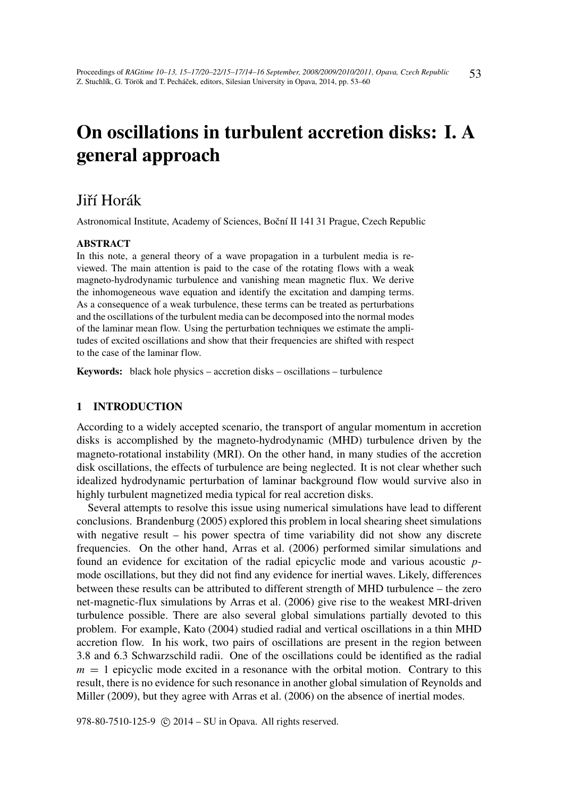# On oscillations in turbulent accretion disks: I. A general approach

# Jiří Horák

Astronomical Institute, Academy of Sciences, Boční II 141 31 Prague, Czech Republic

#### ABSTRACT

In this note, a general theory of a wave propagation in a turbulent media is reviewed. The main attention is paid to the case of the rotating flows with a weak magneto-hydrodynamic turbulence and vanishing mean magnetic flux. We derive the inhomogeneous wave equation and identify the excitation and damping terms. As a consequence of a weak turbulence, these terms can be treated as perturbations and the oscillations of the turbulent media can be decomposed into the normal modes of the laminar mean flow. Using the perturbation techniques we estimate the amplitudes of excited oscillations and show that their frequencies are shifted with respect to the case of the laminar flow.

Keywords: black hole physics – accretion disks – oscillations – turbulence

# 1 INTRODUCTION

According to a widely accepted scenario, the transport of angular momentum in accretion disks is accomplished by the magneto-hydrodynamic (MHD) turbulence driven by the magneto-rotational instability (MRI). On the other hand, in many studies of the accretion disk oscillations, the effects of turbulence are being neglected. It is not clear whether such idealized hydrodynamic perturbation of laminar background flow would survive also in highly turbulent magnetized media typical for real accretion disks.

Several attempts to resolve this issue using numerical simulations have lead to different conclusions. Brandenburg (2005) explored this problem in local shearing sheet simulations with negative result – his power spectra of time variability did not show any discrete frequencies. On the other hand, Arras et al. (2006) performed similar simulations and found an evidence for excitation of the radial epicyclic mode and various acoustic *p*mode oscillations, but they did not find any evidence for inertial waves. Likely, differences between these results can be attributed to different strength of MHD turbulence – the zero net-magnetic-flux simulations by Arras et al. (2006) give rise to the weakest MRI-driven turbulence possible. There are also several global simulations partially devoted to this problem. For example, Kato (2004) studied radial and vertical oscillations in a thin MHD accretion flow. In his work, two pairs of oscillations are present in the region between 3.8 and 6.3 Schwarzschild radii. One of the oscillations could be identified as the radial  $m = 1$  epicyclic mode excited in a resonance with the orbital motion. Contrary to this result, there is no evidence for such resonance in another global simulation of Reynolds and Miller (2009), but they agree with Arras et al. (2006) on the absence of inertial modes.

978-80-7510-125-9 (c) 2014 – SU in Opava. All rights reserved.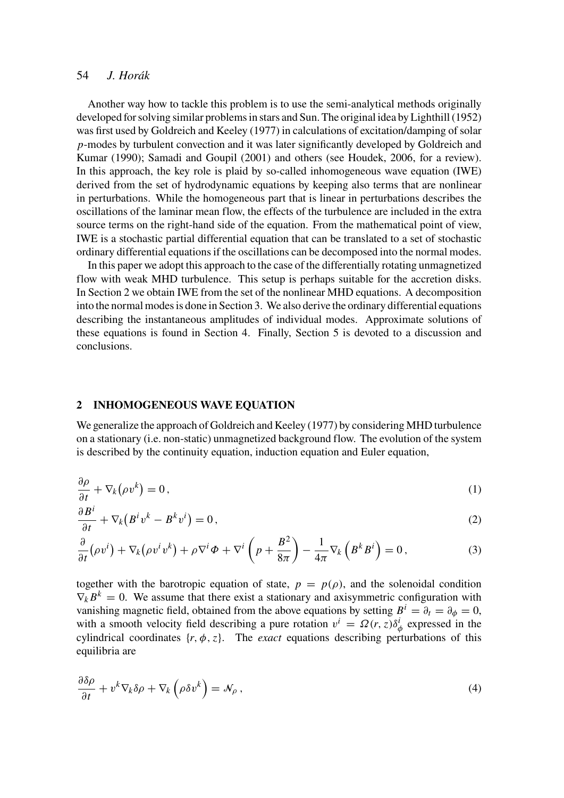# 54 *J. Horák*

Another way how to tackle this problem is to use the semi-analytical methods originally developed for solving similar problems in stars and Sun. The original idea by Lighthill (1952) was first used by Goldreich and Keeley (1977) in calculations of excitation/damping of solar *p*-modes by turbulent convection and it was later significantly developed by Goldreich and Kumar (1990); Samadi and Goupil (2001) and others (see Houdek, 2006, for a review). In this approach, the key role is plaid by so-called inhomogeneous wave equation (IWE) derived from the set of hydrodynamic equations by keeping also terms that are nonlinear in perturbations. While the homogeneous part that is linear in perturbations describes the oscillations of the laminar mean flow, the effects of the turbulence are included in the extra source terms on the right-hand side of the equation. From the mathematical point of view, IWE is a stochastic partial differential equation that can be translated to a set of stochastic ordinary differential equations if the oscillations can be decomposed into the normal modes.

In this paper we adopt this approach to the case of the differentially rotating unmagnetized flow with weak MHD turbulence. This setup is perhaps suitable for the accretion disks. In Section 2 we obtain IWE from the set of the nonlinear MHD equations. A decomposition into the normal modes is done in Section 3. We also derive the ordinary differential equations describing the instantaneous amplitudes of individual modes. Approximate solutions of these equations is found in Section 4. Finally, Section 5 is devoted to a discussion and conclusions.

#### 2 INHOMOGENEOUS WAVE EQUATION

We generalize the approach of Goldreich and Keeley (1977) by considering MHD turbulence on a stationary (i.e. non-static) unmagnetized background flow. The evolution of the system is described by the continuity equation, induction equation and Euler equation,

$$
\frac{\partial \rho}{\partial t} + \nabla_k (\rho v^k) = 0, \qquad (1)
$$

$$
\frac{\partial B^i}{\partial t} + \nabla_k (B^i v^k - B^k v^i) = 0, \qquad (2)
$$

$$
\frac{\partial}{\partial t} \left( \rho v^{i} \right) + \nabla_{k} \left( \rho v^{i} v^{k} \right) + \rho \nabla^{i} \Phi + \nabla^{i} \left( p + \frac{B^{2}}{8\pi} \right) - \frac{1}{4\pi} \nabla_{k} \left( B^{k} B^{i} \right) = 0, \tag{3}
$$

together with the barotropic equation of state,  $p = p(\rho)$ , and the solenoidal condition  $\nabla_k B^k = 0$ . We assume that there exist a stationary and axisymmetric configuration with vanishing magnetic field, obtained from the above equations by setting  $B^i = \partial_t = \partial_\phi = 0$ , with a smooth velocity field describing a pure rotation  $v^i = \Omega(r, z) \delta^i_\phi$  expressed in the cylindrical coordinates  $\{r, \phi, z\}$ . The *exact* equations describing perturbations of this equilibria are

$$
\frac{\partial \delta \rho}{\partial t} + v^k \nabla_k \delta \rho + \nabla_k \left( \rho \delta v^k \right) = \mathcal{N}_\rho \,, \tag{4}
$$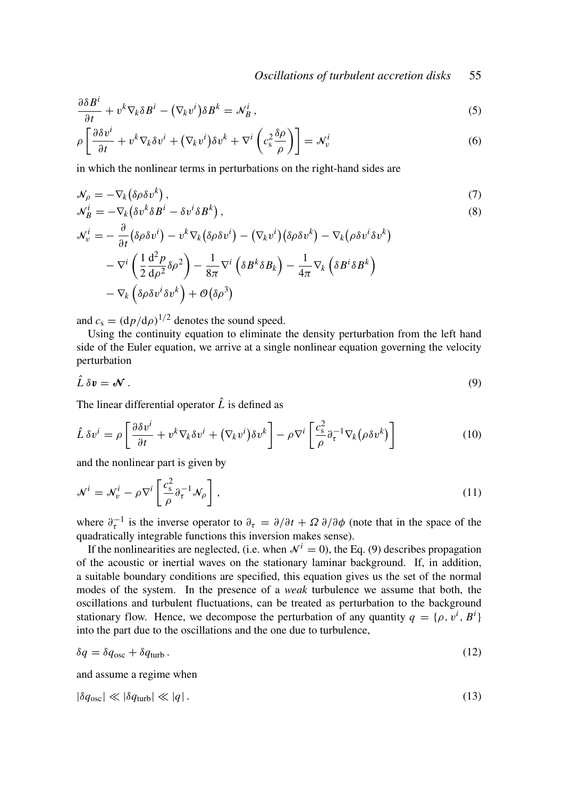$$
\frac{\partial \delta B^i}{\partial t} + v^k \nabla_k \delta B^i - (\nabla_k v^i) \delta B^k = \mathcal{N}_B^i,
$$
\n(5)

$$
\rho \left[ \frac{\partial \delta v^i}{\partial t} + v^k \nabla_k \delta v^i + (\nabla_k v^i) \delta v^k + \nabla^i \left( c_s^2 \frac{\delta \rho}{\rho} \right) \right] = \mathcal{N}_v^i \tag{6}
$$

in which the nonlinear terms in perturbations on the right-hand sides are

$$
\mathcal{N}_{\rho} = -\nabla_k (\delta \rho \delta v^k),\tag{7}
$$

$$
\mathcal{N}_B^i = -\nabla_k (\delta v^k \delta B^i - \delta v^i \delta B^k),\tag{8}
$$

$$
\begin{aligned} \mathcal{N}^i_v=&-\frac{\partial}{\partial t}\big(\delta\rho\delta v^i\big)-v^k\nabla_k\big(\delta\rho\delta v^i\big)-\big(\nabla_k v^i\big)\big(\delta\rho\delta v^k\big)-\nabla_k\big(\rho\delta v^i\delta v^k\big)\\ &-\nabla^i\left(\frac{1}{2}\frac{\mathrm{d}^2p}{\mathrm{d}\rho^2}\delta\rho^2\right)-\frac{1}{8\pi}\nabla^i\left(\delta B^k\delta B_k\right)-\frac{1}{4\pi}\nabla_k\left(\delta B^i\delta B^k\right)\\ &-\nabla_k\left(\delta\rho\delta v^i\delta v^k\right)+\mathcal{O}\big(\delta\rho^3\big) \end{aligned}
$$

and  $c_s = (dp/d\rho)^{1/2}$  denotes the sound speed.

Using the continuity equation to eliminate the density perturbation from the left hand side of the Euler equation, we arrive at a single nonlinear equation governing the velocity perturbation

$$
\hat{L}\,\delta\mathbf{v}=\mathcal{N}.\tag{9}
$$

The linear differential operator  $\hat{L}$  is defined as

$$
\hat{L}\,\delta v^i = \rho \left[\frac{\partial \delta v^i}{\partial t} + v^k \nabla_k \delta v^i + (\nabla_k v^i) \delta v^k\right] - \rho \nabla^i \left[\frac{c_s^2}{\rho} \partial_\tau^{-1} \nabla_k (\rho \delta v^k)\right] \tag{10}
$$

and the nonlinear part is given by

$$
\mathcal{N}^{i} = \mathcal{N}_{v}^{i} - \rho \nabla^{i} \left[ \frac{c_{\rm s}^{2}}{\rho} \partial_{\tau}^{-1} \mathcal{N}_{\rho} \right],
$$
\n(11)

where  $\partial_{\tau}^{-1}$  is the inverse operator to  $\partial_{\tau} = \partial/\partial t + \Omega \partial/\partial \phi$  (note that in the space of the quadratically integrable functions this inversion makes sense).

If the nonlinearities are neglected, (i.e. when  $\mathcal{N}^i = 0$ ), the Eq. (9) describes propagation of the acoustic or inertial waves on the stationary laminar background. If, in addition, a suitable boundary conditions are specified, this equation gives us the set of the normal modes of the system. In the presence of a *weak* turbulence we assume that both, the oscillations and turbulent fluctuations, can be treated as perturbation to the background stationary flow. Hence, we decompose the perturbation of any quantity  $q = \{\rho, v^i, B^i\}$ into the part due to the oscillations and the one due to turbulence,

$$
\delta q = \delta q_{\rm osc} + \delta q_{\rm turb} \,. \tag{12}
$$

and assume a regime when

$$
|\delta q_{\rm osc}| \ll |\delta q_{\rm turb}| \ll |q| \,. \tag{13}
$$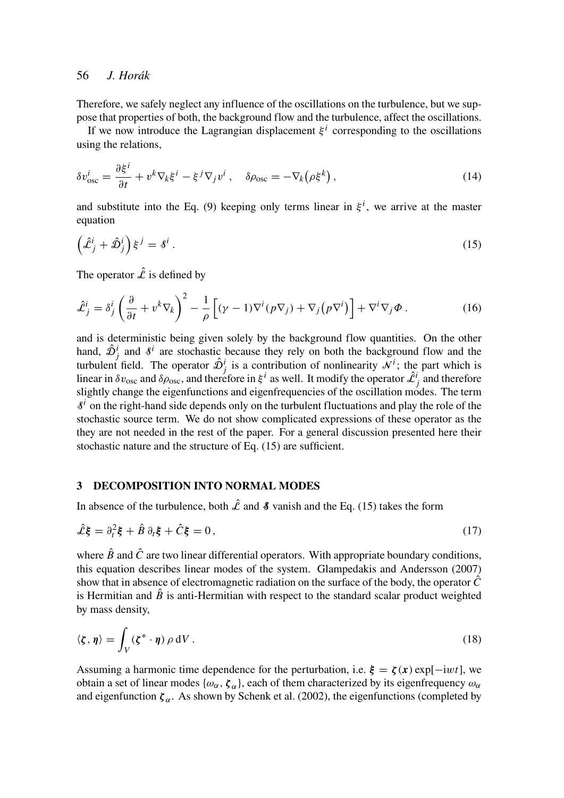# 56 *J. Horák*

Therefore, we safely neglect any influence of the oscillations on the turbulence, but we suppose that properties of both, the background flow and the turbulence, affect the oscillations.

If we now introduce the Lagrangian displacement  $\xi^i$  corresponding to the oscillations using the relations,

$$
\delta v_{\rm osc}^i = \frac{\partial \xi^i}{\partial t} + v^k \nabla_k \xi^i - \xi^j \nabla_j v^i \,, \quad \delta \rho_{\rm osc} = -\nabla_k (\rho \xi^k) \,, \tag{14}
$$

and substitute into the Eq. (9) keeping only terms linear in  $\xi^{i}$ , we arrive at the master equation

$$
\left(\hat{\mathcal{L}}_j^i + \hat{\mathcal{D}}_j^i\right)\xi^j = \delta^i\,. \tag{15}
$$

The operator  $\hat{\mathcal{L}}$  is defined by

$$
\hat{\mathcal{L}}_j^i = \delta_j^i \left( \frac{\partial}{\partial t} + v^k \nabla_k \right)^2 - \frac{1}{\rho} \left[ (\gamma - 1) \nabla^i (p \nabla_j) + \nabla_j (p \nabla^i) \right] + \nabla^i \nabla_j \Phi . \tag{16}
$$

and is deterministic being given solely by the background flow quantities. On the other hand,  $\hat{\mathcal{D}}_j^i$  and  $\delta^i$  are stochastic because they rely on both the background flow and the turbulent field. The operator  $\hat{\mathcal{D}}_j^i$  is a contribution of nonlinearity  $\mathcal{N}^i$ ; the part which is linear in  $\delta v_{\text{osc}}$  and  $\delta \rho_{\text{osc}}$ , and therefore in  $\xi^i$  as well. It modify the operator  $\hat{\mathcal{L}}^i_j$  and therefore slightly change the eigenfunctions and eigenfrequencies of the oscillation modes. The term  $s<sup>i</sup>$  on the right-hand side depends only on the turbulent fluctuations and play the role of the stochastic source term. We do not show complicated expressions of these operator as the they are not needed in the rest of the paper. For a general discussion presented here their stochastic nature and the structure of Eq. (15) are sufficient.

#### 3 DECOMPOSITION INTO NORMAL MODES

In absence of the turbulence, both  $\hat{\mathcal{L}}$  and  $\hat{\mathcal{S}}$  vanish and the Eq. (15) takes the form

$$
\hat{\mathcal{L}}\mathbf{\xi} = \partial_t^2 \mathbf{\xi} + \hat{B} \partial_t \mathbf{\xi} + \hat{C} \mathbf{\xi} = 0, \tag{17}
$$

where  $\hat{B}$  and  $\hat{C}$  are two linear differential operators. With appropriate boundary conditions, this equation describes linear modes of the system. Glampedakis and Andersson (2007) show that in absence of electromagnetic radiation on the surface of the body, the operator  $\hat{C}$ is Hermitian and  $\ddot{B}$  is anti-Hermitian with respect to the standard scalar product weighted by mass density,

$$
\langle \zeta, \eta \rangle = \int_V (\zeta^* \cdot \eta) \, \rho \, \mathrm{d}V \,. \tag{18}
$$

Assuming a harmonic time dependence for the perturbation, i.e.  $\xi = \zeta(x) \exp[-iwt]$ , we obtain a set of linear modes  $\{\omega_\alpha, \zeta_\alpha\}$ , each of them characterized by its eigenfrequency  $\omega_\alpha$ and eigenfunction  $\zeta_{\alpha}$ . As shown by Schenk et al. (2002), the eigenfunctions (completed by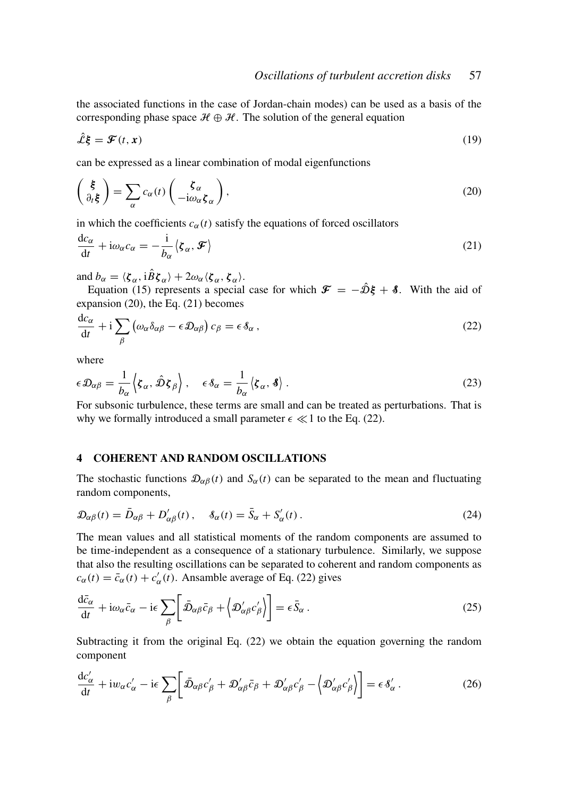the associated functions in the case of Jordan-chain modes) can be used as a basis of the corresponding phase space  $\mathcal{H} \oplus \mathcal{H}$ . The solution of the general equation

$$
\hat{\mathcal{L}}\mathbf{\xi} = \mathbf{\mathcal{F}}(t,\mathbf{x})\tag{19}
$$

can be expressed as a linear combination of modal eigenfunctions

$$
\begin{pmatrix} \xi \\ \partial_t \xi \end{pmatrix} = \sum_{\alpha} c_{\alpha}(t) \begin{pmatrix} \zeta_{\alpha} \\ -i\omega_{\alpha} \zeta_{\alpha} \end{pmatrix},\tag{20}
$$

in which the coefficients  $c_{\alpha}(t)$  satisfy the equations of forced oscillators

$$
\frac{dc_{\alpha}}{dt} + i\omega_{\alpha}c_{\alpha} = -\frac{i}{b_{\alpha}}\langle \mathbf{\zeta}_{\alpha}, \mathbf{\mathcal{F}}\rangle
$$
\n(21)

and  $b_{\alpha} = \langle \boldsymbol{\zeta}_{\alpha}, i\hat{B}\boldsymbol{\zeta}_{\alpha} \rangle + 2\omega_{\alpha} \langle \boldsymbol{\zeta}_{\alpha}, \boldsymbol{\zeta}_{\alpha} \rangle.$ 

Equation (15) represents a special case for which  $\mathcal{F} = -\hat{\mathcal{D}}\xi + \delta$ . With the aid of expansion (20), the Eq. (21) becomes

$$
\frac{dc_{\alpha}}{dt} + i \sum_{\beta} \left( \omega_{\alpha} \delta_{\alpha\beta} - \epsilon \mathcal{D}_{\alpha\beta} \right) c_{\beta} = \epsilon \delta_{\alpha} , \qquad (22)
$$

where

$$
\epsilon \mathcal{D}_{\alpha\beta} = \frac{1}{b_{\alpha}} \left\langle \boldsymbol{\zeta}_{\alpha}, \hat{\mathcal{D}} \boldsymbol{\zeta}_{\beta} \right\rangle, \quad \epsilon \delta_{\alpha} = \frac{1}{b_{\alpha}} \left\langle \boldsymbol{\zeta}_{\alpha}, \boldsymbol{\delta} \right\rangle.
$$
 (23)

For subsonic turbulence, these terms are small and can be treated as perturbations. That is why we formally introduced a small parameter  $\epsilon \ll 1$  to the Eq. (22).

# 4 COHERENT AND RANDOM OSCILLATIONS

The stochastic functions  $\mathcal{D}_{\alpha\beta}(t)$  and  $S_{\alpha}(t)$  can be separated to the mean and fluctuating random components,

$$
\mathcal{D}_{\alpha\beta}(t) = \bar{D}_{\alpha\beta} + D'_{\alpha\beta}(t), \quad \delta_{\alpha}(t) = \bar{S}_{\alpha} + S'_{\alpha}(t).
$$
\n(24)

The mean values and all statistical moments of the random components are assumed to be time-independent as a consequence of a stationary turbulence. Similarly, we suppose that also the resulting oscillations can be separated to coherent and random components as  $c_{\alpha}(t) = \bar{c}_{\alpha}(t) + c'_{\alpha}(t)$ . Ansamble average of Eq. (22) gives

$$
\frac{\mathrm{d}\bar{c}_{\alpha}}{\mathrm{d}t} + \mathrm{i}\omega_{\alpha}\bar{c}_{\alpha} - \mathrm{i}\epsilon \sum_{\beta} \left[ \bar{\mathcal{D}}_{\alpha\beta}\bar{c}_{\beta} + \left\langle \mathcal{D}'_{\alpha\beta}c'_{\beta} \right\rangle \right] = \epsilon \bar{S}_{\alpha} \,. \tag{25}
$$

Subtracting it from the original Eq. (22) we obtain the equation governing the random component

$$
\frac{\mathrm{d}c'_{\alpha}}{\mathrm{d}t} + \mathrm{i}w_{\alpha}c'_{\alpha} - \mathrm{i}\epsilon \sum_{\beta} \left[ \bar{\mathcal{D}}_{\alpha\beta}c'_{\beta} + \mathcal{D}'_{\alpha\beta}\bar{c}_{\beta} + \mathcal{D}'_{\alpha\beta}c'_{\beta} - \left\langle \mathcal{D}'_{\alpha\beta}c'_{\beta} \right\rangle \right] = \epsilon \,\delta'_{\alpha} \,. \tag{26}
$$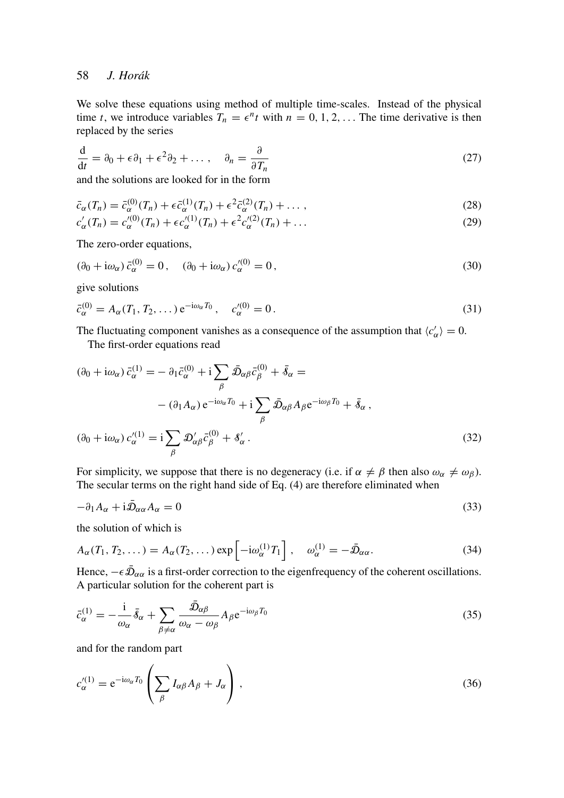# 58 *J. Horák*

We solve these equations using method of multiple time-scales. Instead of the physical time *t*, we introduce variables  $T_n = \epsilon^n t$  with  $n = 0, 1, 2, \ldots$  The time derivative is then replaced by the series

$$
\frac{\mathrm{d}}{\mathrm{d}t} = \partial_0 + \epsilon \partial_1 + \epsilon^2 \partial_2 + \dots, \quad \partial_n = \frac{\partial}{\partial T_n} \tag{27}
$$

and the solutions are looked for in the form

$$
\bar{c}_{\alpha}(T_n) = \bar{c}_{\alpha}^{(0)}(T_n) + \epsilon \bar{c}_{\alpha}^{(1)}(T_n) + \epsilon^2 \bar{c}_{\alpha}^{(2)}(T_n) + \dots,
$$
\n(28)

$$
c'_{\alpha}(T_n) = c'^{(0)}_{\alpha}(T_n) + \epsilon c'^{(1)}_{\alpha}(T_n) + \epsilon^2 c'^{(2)}_{\alpha}(T_n) + \dots
$$
\n(29)

The zero-order equations,

$$
(\partial_0 + i\omega_\alpha) \bar{c}^{(0)}_\alpha = 0, \quad (\partial_0 + i\omega_\alpha) c'^{(0)}_\alpha = 0,
$$
\n
$$
(30)
$$

give solutions

$$
\bar{c}_{\alpha}^{(0)} = A_{\alpha}(T_1, T_2, \dots) e^{-i\omega_{\alpha} T_0}, \quad c_{\alpha}^{'(0)} = 0.
$$
\n(31)

The fluctuating component vanishes as a consequence of the assumption that  $\langle c'_\alpha \rangle = 0$ . The first-order equations read

$$
(\partial_0 + i\omega_\alpha) \bar{c}^{(1)}_\alpha = -\partial_1 \bar{c}^{(0)}_\alpha + i \sum_\beta \bar{\mathcal{D}}_{\alpha\beta} \bar{c}^{(0)}_\beta + \bar{\mathcal{S}}_\alpha =
$$
  

$$
- (\partial_1 A_\alpha) e^{-i\omega_\alpha T_0} + i \sum_\beta \bar{\mathcal{D}}_{\alpha\beta} A_\beta e^{-i\omega_\beta T_0} + \bar{\mathcal{S}}_\alpha ,
$$
  

$$
(\partial_0 + i\omega_\alpha) c'^{(1)}_\alpha = i \sum_\beta \mathcal{D}'_{\alpha\beta} \bar{c}^{(0)}_\beta + \mathcal{S}'_\alpha .
$$
 (32)

For simplicity, we suppose that there is no degeneracy (i.e. if  $\alpha \neq \beta$  then also  $\omega_{\alpha} \neq \omega_{\beta}$ ). The secular terms on the right hand side of Eq. (4) are therefore eliminated when

$$
-\partial_1 A_\alpha + i\bar{\mathcal{D}}_{\alpha\alpha} A_\alpha = 0 \tag{33}
$$

the solution of which is

$$
A_{\alpha}(T_1, T_2, \dots) = A_{\alpha}(T_2, \dots) \exp\left[-i\omega_{\alpha}^{(1)}T_1\right], \quad \omega_{\alpha}^{(1)} = -\bar{\mathcal{D}}_{\alpha\alpha}.
$$
 (34)

Hence,  $-\epsilon \bar{\mathcal{D}}_{\alpha\alpha}$  is a first-order correction to the eigenfrequency of the coherent oscillations. A particular solution for the coherent part is

$$
\bar{c}_{\alpha}^{(1)} = -\frac{\mathrm{i}}{\omega_{\alpha}} \bar{\delta}_{\alpha} + \sum_{\beta \neq \alpha} \frac{\bar{\mathcal{D}}_{\alpha\beta}}{\omega_{\alpha} - \omega_{\beta}} A_{\beta} e^{-\mathrm{i}\omega_{\beta}T_{0}} \tag{35}
$$

and for the random part

$$
c_{\alpha}^{\prime(1)} = e^{-i\omega_{\alpha}T_0} \left( \sum_{\beta} I_{\alpha\beta} A_{\beta} + J_{\alpha} \right), \qquad (36)
$$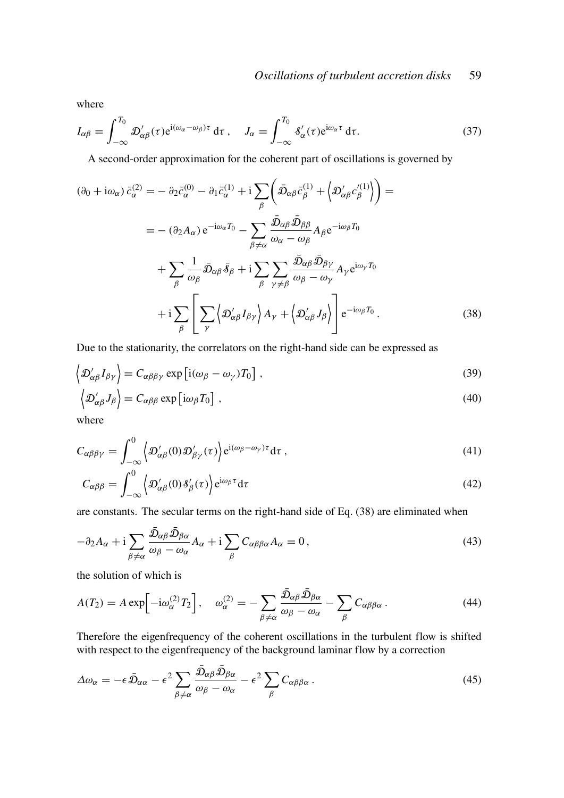where

$$
I_{\alpha\beta} = \int_{-\infty}^{T_0} \mathcal{D}'_{\alpha\beta}(\tau) e^{i(\omega_\alpha - \omega_\beta)\tau} d\tau, \quad J_\alpha = \int_{-\infty}^{T_0} \delta'_\alpha(\tau) e^{i\omega_\alpha \tau} d\tau.
$$
 (37)

A second-order approximation for the coherent part of oscillations is governed by

$$
(\partial_0 + i\omega_\alpha) \bar{c}^{(2)}_\alpha = -\partial_2 \bar{c}^{(0)}_\alpha - \partial_1 \bar{c}^{(1)}_\alpha + i \sum_\beta \left( \bar{\mathfrak{D}}_{\alpha\beta} \bar{c}^{(1)}_\beta + \left\langle \mathfrak{D}'_{\alpha\beta} c'^{(1)}_\beta \right\rangle \right) =
$$
  

$$
= -(\partial_2 A_\alpha) e^{-i\omega_\alpha T_0} - \sum_{\beta \neq \alpha} \frac{\bar{\mathfrak{D}}_{\alpha\beta} \bar{\mathfrak{D}}_{\beta\beta}}{\omega_\alpha - \omega_\beta} A_\beta e^{-i\omega_\beta T_0}
$$

$$
+ \sum_\beta \frac{1}{\omega_\beta} \bar{\mathfrak{D}}_{\alpha\beta} \bar{s}_\beta + i \sum_\beta \sum_{\gamma \neq \beta} \frac{\bar{\mathfrak{D}}_{\alpha\beta} \bar{\mathfrak{D}}_{\beta\gamma}}{\omega_\beta - \omega_\gamma} A_\gamma e^{i\omega_\gamma T_0}
$$

$$
+ i \sum_\beta \left[ \sum_\gamma \left\langle \mathfrak{D}'_{\alpha\beta} I_{\beta\gamma} \right\rangle A_\gamma + \left\langle \mathfrak{D}'_{\alpha\beta} J_\beta \right\rangle \right] e^{-i\omega_\beta T_0} . \tag{38}
$$

Due to the stationarity, the correlators on the right-hand side can be expressed as

$$
\langle \mathcal{D}'_{\alpha\beta} I_{\beta\gamma} \rangle = C_{\alpha\beta\beta\gamma} \exp \left[ i(\omega_{\beta} - \omega_{\gamma}) T_0 \right], \tag{39}
$$

$$
\langle \mathcal{D}'_{\alpha\beta} J_{\beta} \rangle = C_{\alpha\beta\beta} \exp \left[ i\omega_{\beta} T_0 \right], \qquad (40)
$$

where

$$
C_{\alpha\beta\beta\gamma} = \int_{-\infty}^{0} \left\langle \mathcal{D}'_{\alpha\beta}(0) \mathcal{D}'_{\beta\gamma}(\tau) \right\rangle e^{i(\omega_{\beta} - \omega_{\gamma})\tau} d\tau , \qquad (41)
$$

$$
C_{\alpha\beta\beta} = \int_{-\infty}^{0} \left\langle \mathcal{D}'_{\alpha\beta}(0) \delta'_{\beta}(\tau) \right\rangle e^{i\omega_{\beta}\tau} d\tau \tag{42}
$$

are constants. The secular terms on the right-hand side of Eq. (38) are eliminated when

$$
-\partial_2 A_{\alpha} + i \sum_{\beta \neq \alpha} \frac{\bar{\mathfrak{D}}_{\alpha\beta} \bar{\mathfrak{D}}_{\beta\alpha}}{\omega_{\beta} - \omega_{\alpha}} A_{\alpha} + i \sum_{\beta} C_{\alpha\beta\beta\alpha} A_{\alpha} = 0, \qquad (43)
$$

the solution of which is

$$
A(T_2) = A \exp\left[-i\omega_{\alpha}^{(2)}T_2\right], \quad \omega_{\alpha}^{(2)} = -\sum_{\beta \neq \alpha} \frac{\bar{\mathcal{D}}_{\alpha\beta}\bar{\mathcal{D}}_{\beta\alpha}}{\omega_{\beta} - \omega_{\alpha}} - \sum_{\beta} C_{\alpha\beta\beta\alpha}.
$$
 (44)

Therefore the eigenfrequency of the coherent oscillations in the turbulent flow is shifted with respect to the eigenfrequency of the background laminar flow by a correction

$$
\Delta\omega_{\alpha} = -\epsilon \bar{\mathcal{D}}_{\alpha\alpha} - \epsilon^2 \sum_{\beta \neq \alpha} \frac{\bar{\mathcal{D}}_{\alpha\beta} \bar{\mathcal{D}}_{\beta\alpha}}{\omega_{\beta} - \omega_{\alpha}} - \epsilon^2 \sum_{\beta} C_{\alpha\beta\beta\alpha} \,. \tag{45}
$$